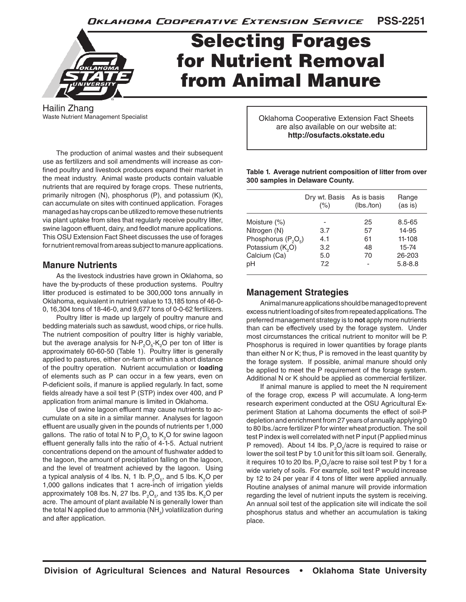**PSS-2251** Oklahoma Cooperative Extension Service



# **Selecting Forages** for Nutrient Removal from Animal Manure

Hailin Zhang Waste Nutrient Management Specialist

The production of animal wastes and their subsequent use as fertilizers and soil amendments will increase as confined poultry and livestock producers expand their market in the meat industry. Animal waste products contain valuable nutrients that are required by forage crops. These nutrients, primarily nitrogen (N), phosphorus (P), and potassium (K), can accumulate on sites with continued application. Forages managed as hay crops can be utilized to remove these nutrients via plant uptake from sites that regularly receive poultry litter, swine lagoon effluent, dairy, and feedlot manure applications. This OSU Extension Fact Sheet discusses the use of forages for nutrient removal from areas subject to manure applications.

#### **Manure Nutrients**

As the livestock industries have grown in Oklahoma, so have the by-products of these production systems. Poultry litter produced is estimated to be 300,000 tons annually in Oklahoma, equivalent in nutrient value to 13,185 tons of 46-0- 0, 16,304 tons of 18-46-0, and 9,677 tons of 0-0-62 fertilizers.

Poultry litter is made up largely of poultry manure and bedding materials such as sawdust, wood chips, or rice hulls. The nutrient composition of poultry litter is highly variable, but the average analysis for N-P<sub>2</sub>O<sub>5</sub>-K<sub>2</sub>O per ton of litter is approximately 60-60-50 (Table 1). Poultry litter is generally applied to pastures, either on-farm or within a short distance of the poultry operation. Nutrient accumulation or **loading** of elements such as P can occur in a few years, even on P-deficient soils, if manure is applied regularly. In fact, some fields already have a soil test P (STP) index over 400, and P application from animal manure is limited in Oklahoma.

Use of swine lagoon effluent may cause nutrients to accumulate on a site in a similar manner. Analyses for lagoon effluent are usually given in the pounds of nutrients per 1,000 gallons. The ratio of total N to  $P_2O_5$  to  $K_2O$  for swine lagoon effluent generally falls into the ratio of 4-1-5. Actual nutrient concentrations depend on the amount of flushwater added to the lagoon, the amount of precipitation falling on the lagoon, and the level of treatment achieved by the lagoon. Using a typical analysis of 4 lbs. N, 1 lb.  $\mathsf{P}_2\mathsf{O}_5$ , and 5 lbs.  $\mathsf{K}_2\mathsf{O}$  per 1,000 gallons indicates that 1 acre-inch of irrigation yields approximately 108 lbs. N, 27 lbs.  $\mathsf{P}_2\mathsf{O}_5$ , and 135 lbs.  $\mathsf{K}_2\mathsf{O}$  per acre. The amount of plant available N is generally lower than the total N applied due to ammonia (NH $_{\rm 3}$ ) volatilization during and after application.

Oklahoma Cooperative Extension Fact Sheets are also available on our website at: **http://osufacts.okstate.edu**

| Table 1. Average nutrient composition of litter from over |  |
|-----------------------------------------------------------|--|
| 300 samples in Delaware County.                           |  |

|                                             | Dry wt. Basis<br>(%) | As is basis<br>(lbs./ton) | Range<br>(as is) |
|---------------------------------------------|----------------------|---------------------------|------------------|
| Moisture $(\%)$                             |                      | 25                        | 8.5-65           |
| Nitrogen (N)                                | 3.7                  | 57                        | 14-95            |
| Phosphorus (P <sub>2</sub> O <sub>5</sub> ) | 4.1                  | 61                        | 11-108           |
| Potassium (K <sub>2</sub> O)                | 3.2                  | 48                        | 15-74            |
| Calcium (Ca)                                | 5.0                  | 70                        | 26-203           |
| рH                                          | 7.2                  |                           | $5.8 - 8.8$      |

## **Management Strategies**

Animal manure applications should be managed to prevent excess nutrient loading of sites from repeated applications. The preferred management strategy is to **not** apply more nutrients than can be effectively used by the forage system. Under most circumstances the critical nutrient to monitor will be P. Phosphorus is required in lower quantities by forage plants than either N or K; thus, P is removed in the least quantity by the forage system. If possible, animal manure should only be applied to meet the P requirement of the forage system. Additional N or K should be applied as commercial fertilizer.

If animal manure is applied to meet the N requirement of the forage crop, excess P will accumulate. A long-term research experiment conducted at the OSU Agricultural Experiment Station at Lahoma documents the effect of soil-P depletion and enrichment from 27 years of annually applying 0 to 80 lbs./acre fertilizer P for winter wheat production. The soil test P index is well correlated with net P input (P applied minus P removed). About 14 lbs.  $P_2O_5/$ acre is required to raise or lower the soil test P by 1.0 unit for this silt loam soil. Generally, it requires 10 to 20 lbs.  $\mathsf{P}_{{}_2}\mathsf{O}_{{}_5}\!/\mathrm{ac}$ re to raise soil test P by 1 for a wide variety of soils. For example, soil test P would increase by 12 to 24 per year if 4 tons of litter were applied annually. Routine analyses of animal manure will provide information regarding the level of nutrient inputs the system is receiving. An annual soil test of the application site will indicate the soil phosphorus status and whether an accumulation is taking place.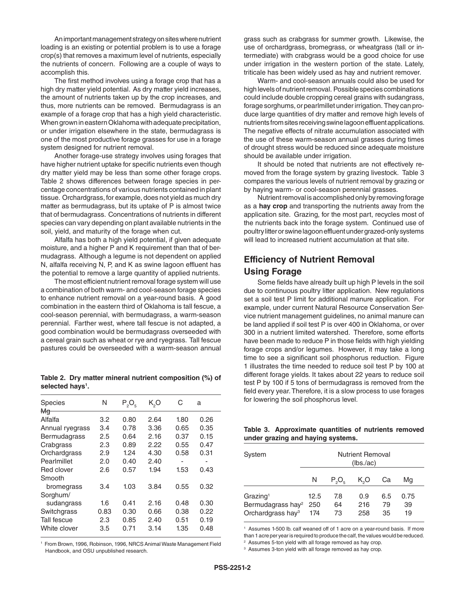An important management strategy on sites where nutrient loading is an existing or potential problem is to use a forage crop(s) that removes a maximum level of nutrients, especially the nutrients of concern. Following are a couple of ways to accomplish this.

The first method involves using a forage crop that has a high dry matter yield potential. As dry matter yield increases, the amount of nutrients taken up by the crop increases, and thus, more nutrients can be removed. Bermudagrass is an example of a forage crop that has a high yield characteristic. When grown in eastern Oklahoma with adequate precipitation, or under irrigation elsewhere in the state, bermudagrass is one of the most productive forage grasses for use in a forage system designed for nutrient removal.

Another forage-use strategy involves using forages that have higher nutrient uptake for specific nutrients even though dry matter yield may be less than some other forage crops. Table 2 shows differences between forage species in percentage concentrations of various nutrients contained in plant tissue. Orchardgrass, for example, does not yield as much dry matter as bermudagrass, but its uptake of P is almost twice that of bermudagrass. Concentrations of nutrients in different species can vary depending on plant available nutrients in the soil, yield, and maturity of the forage when cut.

Alfalfa has both a high yield potential, if given adequate moisture, and a higher P and K requirement than that of bermudagrass. Although a legume is not dependent on applied N, alfalfa receiving N, P, and K as swine lagoon effluent has the potential to remove a large quantity of applied nutrients.

The most efficient nutrient removal forage system will use a combination of both warm- and cool-season forage species to enhance nutrient removal on a year-round basis. A good combination in the eastern third of Oklahoma is tall fescue, a cool-season perennial, with bermudagrass, a warm-season perennial. Farther west, where tall fescue is not adapted, a good combination would be bermudagrass overseeded with a cereal grain such as wheat or rye and ryegrass. Tall fescue pastures could be overseeded with a warm-season annual

**Table 2. Dry matter mineral nutrient composition (%) of**  selected hays<sup>1</sup>.

| <b>Species</b><br>₩q | N       | $P_2O_5$ | K,O  | С    | a    |
|----------------------|---------|----------|------|------|------|
| Alfalfa              | 3.2     | 0.80     | 2.64 | 1.80 | 0.26 |
| Annual ryegrass      | 3.4     | 0.78     | 3.36 | 0.65 | 0.35 |
| <b>Bermudagrass</b>  | $2.5\,$ | 0.64     | 2.16 | 0.37 | 0.15 |
| Crabgrass            | 2.3     | 0.89     | 2.22 | 0.55 | 0.47 |
| Orchardgrass         | 2.9     | 1.24     | 4.30 | 0.58 | 0.31 |
| Pearlmillet          | 2.0     | 0.40     | 2.40 |      |      |
| Red clover           | 2.6     | 0.57     | 1.94 | 1.53 | 0.43 |
| Smooth               |         |          |      |      |      |
| bromegrass           | 3.4     | 1.03     | 3.84 | 0.55 | 0.32 |
| Sorghum/             |         |          |      |      |      |
| sudangrass           | 1.6     | 0.41     | 2.16 | 0.48 | 0.30 |
| Switchgrass          | 0.83    | 0.30     | 0.66 | 0.38 | 0.22 |
| Tall fescue          | 2.3     | 0.85     | 2.40 | 0.51 | 0.19 |
| White clover         | 3.5     | 0.71     | 3.14 | 1.35 | 0.48 |
|                      |         |          |      |      |      |

1 From Brown, 1996, Robinson, 1996, NRCS Animal Waste Management Field Handbook, and OSU unpublished research.

grass such as crabgrass for summer growth. Likewise, the use of orchardgrass, bromegrass, or wheatgrass (tall or intermediate) with crabgrass would be a good choice for use under irrigation in the western portion of the state. Lately, triticale has been widely used as hay and nutrient remover.

Warm- and cool-season annuals could also be used for high levels of nutrient removal. Possible species combinations could include double cropping cereal grains with sudangrass, forage sorghums, or pearlmillet under irrigation. They can produce large quantities of dry matter and remove high levels of nutrients from sites receiving swine lagoon effluent applications. The negative effects of nitrate accumulation associated with the use of these warm-season annual grasses during times of drought stress would be reduced since adequate moisture should be available under irrigation.

It should be noted that nutrients are not effectively removed from the forage system by grazing livestock. Table 3 compares the various levels of nutrient removal by grazing or by haying warm- or cool-season perennial grasses.

Nutrient removal is accomplished only by removing forage as a **hay crop** and transporting the nutrients away from the application site. Grazing, for the most part, recycles most of the nutrients back into the forage system. Continued use of poultry litter or swine lagoon effluent under grazed-only systems will lead to increased nutrient accumulation at that site.

# **Efficiency of Nutrient Removal Using Forage**

Some fields have already built up high P levels in the soil due to continuous poultry litter application. New regulations set a soil test P limit for additional manure application. For example, under current Natural Resource Conservation Service nutrient management guidelines, no animal manure can be land applied if soil test P is over 400 in Oklahoma, or over 300 in a nutrient limited watershed. Therefore, some efforts have been made to reduce P in those fields with high yielding forage crops and/or legumes. However, it may take a long time to see a significant soil phosphorus reduction. Figure 1 illustrates the time needed to reduce soil test P by 100 at different forage yields. It takes about 22 years to reduce soil test P by 100 if 5 tons of bermudagrass is removed from the field every year. Therefore, it is a slow process to use forages for lowering the soil phosphorus level.

#### **Table 3. Approximate quantities of nutrients removed under grazing and haying systems.**

| System                                                                                 | <b>Nutrient Removal</b><br>(lbs/ac) |                         |                   |                 |                  |  |
|----------------------------------------------------------------------------------------|-------------------------------------|-------------------------|-------------------|-----------------|------------------|--|
|                                                                                        | N                                   | $P_{\circ}O_{\epsilon}$ | $K_2O$            | Ca              | Ma               |  |
| Grazing <sup>1</sup><br>Bermudagrass hay <sup>2</sup><br>Orchardgrass hay <sup>3</sup> | 12.5<br>250<br>174                  | 7.8<br>64<br>73         | 0.9<br>216<br>258 | 6.5<br>79<br>35 | 0.75<br>39<br>19 |  |

<sup>1</sup> Assumes 1-500 lb. calf weaned off of 1 acre on a year-round basis. If more than 1 acre per year is required to produce the calf, the values would be reduced.

2 Assumes 5-ton yield with all forage removed as hay crop.

<sup>3</sup> Assumes 3-ton yield with all forage removed as hay crop.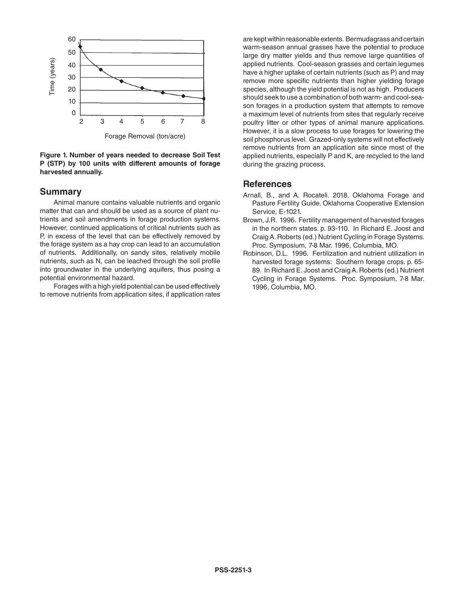

Forage Removal (ton/acre)

#### **Figure 1. Number of years needed to decrease Soil Test P (STP) by 100 units with different amounts of forage harvested annually.**

### **Summary**

Animal manure contains valuable nutrients and organic matter that can and should be used as a source of plant nutrients and soil amendments in forage production systems. However, continued applications of critical nutrients such as P, in excess of the level that can be effectively removed by the forage system as a hay crop can lead to an accumulation of nutrients. Additionally, on sandy sites, relatively mobile nutrients, such as N, can be leached through the soil profile into groundwater in the underlying aquifers, thus posing a potential environmental hazard.

Forages with a high yield potential can be used effectively to remove nutrients from application sites, if application rates

are kept within reasonable extents. Bermudagrass and certain warm-season annual grasses have the potential to produce large dry matter yields and thus remove large quantities of applied nutrients. Cool-season grasses and certain legumes have a higher uptake of certain nutrients (such as P) and may remove more specific nutrients than higher yielding forage species, although the yield potential is not as high. Producers should seek to use a combination of both warm- and cool-season forages in a production system that attempts to remove a maximum level of nutrients from sites that regularly receive poultry litter or other types of animal manure applications. However, it is a slow process to use forages for lowering the soil phosphorus level. Grazed-only systems will not effectively remove nutrients from an application site since most of the applied nutrients, especially P and K, are recycled to the land during the grazing process.

# **References**

- Arnall, B., and A. Rocateli. 2018. Oklahoma Forage and Pasture Fertility Guide. Oklahoma Cooperative Extension Service, E-1021.
- Brown, J.R. 1996. Fertility management of harvested forages in the northern states. p. 93-110. In Richard E. Joost and Craig A. Roberts (ed.) Nutrient Cycling in Forage Systems. Proc. Symposium, 7-8 Mar. 1996, Columbia, MO.
- Robinson, D.L. 1996. Fertilization and nutrient utilization in harvested forage systems: Southern forage crops. p. 65- 89. In Richard E. Joost and Craig A. Roberts (ed.) Nutrient Cycling in Forage Systems. Proc. Symposium, 7-8 Mar. 1996, Columbia, MO.